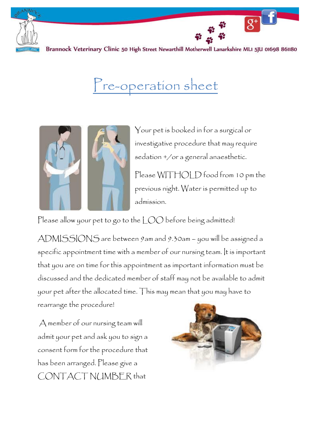

Brannock Veterinary Clinic 50 High Street Newarthill Motherwell Lanarkshire MLI 5JU 01698 861180

## Pre-operation sheet



Your pet is booked in for a surgical or investigative procedure that may require sedation +/or a general anaesthetic.

 $\overline{g^+}$ 

Please WITHOLD food from 10 pm the previous night. Water is permitted up to admission.

Please allow your pet to go to the LOO before being admitted!

ADMISSIONS are between 9am and 9.30am – you will be assigned a specific appointment time with a member of our nursing team. It is important that you are on time for this appointment as important information must be discussed and the dedicated member of staff may not be available to admit your pet after the allocated time. This may mean that you may have to rearrange the procedure!

A member of our nursing team will admit your pet and ask you to sign a consent form for the procedure that has been arranged. Please give a CONTACT NUMBER that